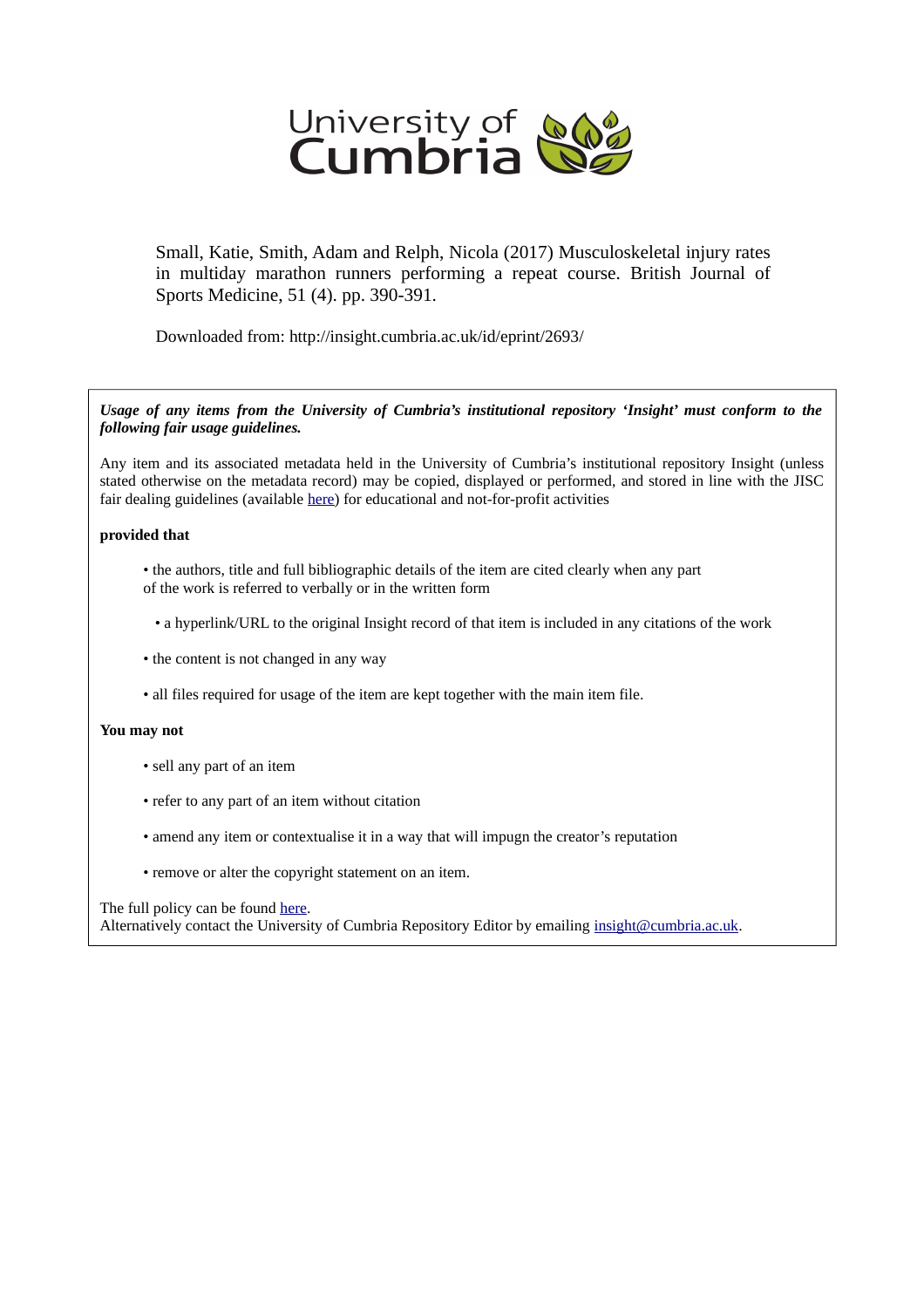

Small, Katie, Smith, Adam and Relph, Nicola (2017) Musculoskeletal injury rates in multiday marathon runners performing a repeat course. British Journal of Sports Medicine, 51 (4). pp. 390-391.

Downloaded from: http://insight.cumbria.ac.uk/id/eprint/2693/

*Usage of any items from the University of Cumbria's institutional repository 'Insight' must conform to the following fair usage guidelines.*

Any item and its associated metadata held in the University of Cumbria's institutional repository Insight (unless stated otherwise on the metadata record) may be copied, displayed or performed, and stored in line with the JISC fair dealing guidelines (available [here\)](http://www.ukoln.ac.uk/services/elib/papers/pa/fair/) for educational and not-for-profit activities

### **provided that**

- the authors, title and full bibliographic details of the item are cited clearly when any part of the work is referred to verbally or in the written form
	- a hyperlink/URL to the original Insight record of that item is included in any citations of the work
- the content is not changed in any way
- all files required for usage of the item are kept together with the main item file.

## **You may not**

- sell any part of an item
- refer to any part of an item without citation
- amend any item or contextualise it in a way that will impugn the creator's reputation
- remove or alter the copyright statement on an item.

#### The full policy can be found [here.](http://insight.cumbria.ac.uk/legal.html#section5)

Alternatively contact the University of Cumbria Repository Editor by emailing [insight@cumbria.ac.uk.](mailto:insight@cumbria.ac.uk)